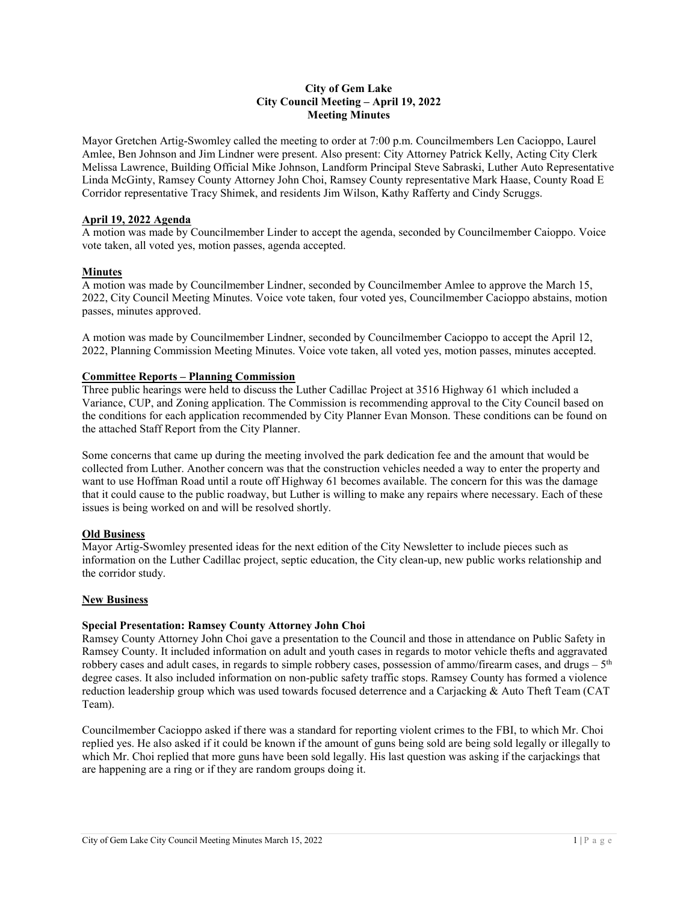### **City of Gem Lake City Council Meeting – April 19, 2022 Meeting Minutes**

Mayor Gretchen Artig-Swomley called the meeting to order at 7:00 p.m. Councilmembers Len Cacioppo, Laurel Amlee, Ben Johnson and Jim Lindner were present. Also present: City Attorney Patrick Kelly, Acting City Clerk Melissa Lawrence, Building Official Mike Johnson, Landform Principal Steve Sabraski, Luther Auto Representative Linda McGinty, Ramsey County Attorney John Choi, Ramsey County representative Mark Haase, County Road E Corridor representative Tracy Shimek, and residents Jim Wilson, Kathy Rafferty and Cindy Scruggs.

### **April 19, 2022 Agenda**

A motion was made by Councilmember Linder to accept the agenda, seconded by Councilmember Caioppo. Voice vote taken, all voted yes, motion passes, agenda accepted.

# **Minutes**

A motion was made by Councilmember Lindner, seconded by Councilmember Amlee to approve the March 15, 2022, City Council Meeting Minutes. Voice vote taken, four voted yes, Councilmember Cacioppo abstains, motion passes, minutes approved.

A motion was made by Councilmember Lindner, seconded by Councilmember Cacioppo to accept the April 12, 2022, Planning Commission Meeting Minutes. Voice vote taken, all voted yes, motion passes, minutes accepted.

# **Committee Reports – Planning Commission**

Three public hearings were held to discuss the Luther Cadillac Project at 3516 Highway 61 which included a Variance, CUP, and Zoning application. The Commission is recommending approval to the City Council based on the conditions for each application recommended by City Planner Evan Monson. These conditions can be found on the attached Staff Report from the City Planner.

Some concerns that came up during the meeting involved the park dedication fee and the amount that would be collected from Luther. Another concern was that the construction vehicles needed a way to enter the property and want to use Hoffman Road until a route off Highway 61 becomes available. The concern for this was the damage that it could cause to the public roadway, but Luther is willing to make any repairs where necessary. Each of these issues is being worked on and will be resolved shortly.

# **Old Business**

Mayor Artig-Swomley presented ideas for the next edition of the City Newsletter to include pieces such as information on the Luther Cadillac project, septic education, the City clean-up, new public works relationship and the corridor study.

### **New Business**

# **Special Presentation: Ramsey County Attorney John Choi**

Ramsey County Attorney John Choi gave a presentation to the Council and those in attendance on Public Safety in Ramsey County. It included information on adult and youth cases in regards to motor vehicle thefts and aggravated robbery cases and adult cases, in regards to simple robbery cases, possession of ammo/firearm cases, and drugs  $-5<sup>th</sup>$ degree cases. It also included information on non-public safety traffic stops. Ramsey County has formed a violence reduction leadership group which was used towards focused deterrence and a Carjacking & Auto Theft Team (CAT Team).

Councilmember Cacioppo asked if there was a standard for reporting violent crimes to the FBI, to which Mr. Choi replied yes. He also asked if it could be known if the amount of guns being sold are being sold legally or illegally to which Mr. Choi replied that more guns have been sold legally. His last question was asking if the carjackings that are happening are a ring or if they are random groups doing it.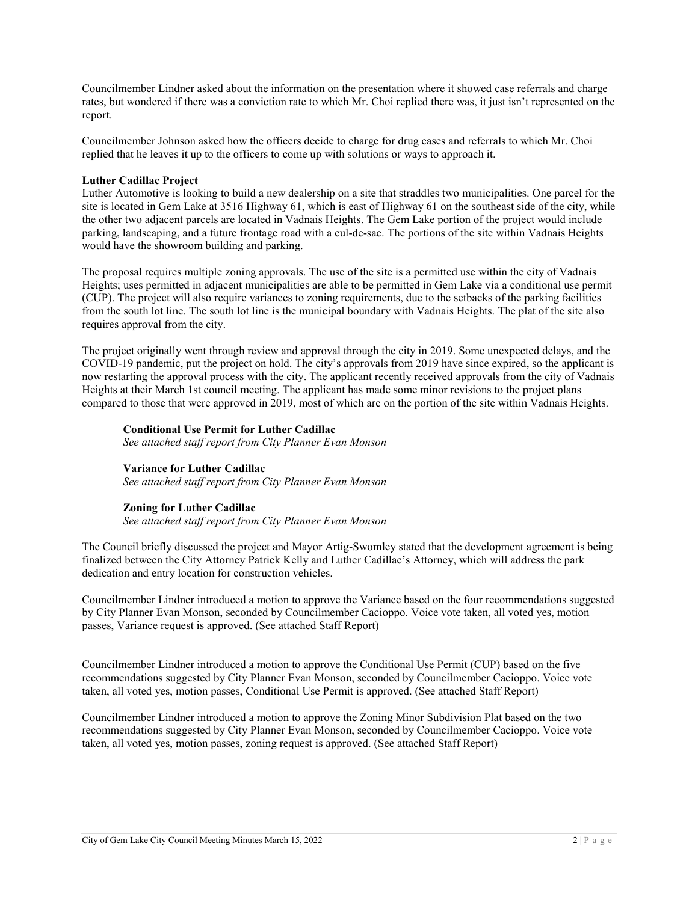Councilmember Lindner asked about the information on the presentation where it showed case referrals and charge rates, but wondered if there was a conviction rate to which Mr. Choi replied there was, it just isn't represented on the report.

Councilmember Johnson asked how the officers decide to charge for drug cases and referrals to which Mr. Choi replied that he leaves it up to the officers to come up with solutions or ways to approach it.

### **Luther Cadillac Project**

Luther Automotive is looking to build a new dealership on a site that straddles two municipalities. One parcel for the site is located in Gem Lake at 3516 Highway 61, which is east of Highway 61 on the southeast side of the city, while the other two adjacent parcels are located in Vadnais Heights. The Gem Lake portion of the project would include parking, landscaping, and a future frontage road with a cul-de-sac. The portions of the site within Vadnais Heights would have the showroom building and parking.

The proposal requires multiple zoning approvals. The use of the site is a permitted use within the city of Vadnais Heights; uses permitted in adjacent municipalities are able to be permitted in Gem Lake via a conditional use permit (CUP). The project will also require variances to zoning requirements, due to the setbacks of the parking facilities from the south lot line. The south lot line is the municipal boundary with Vadnais Heights. The plat of the site also requires approval from the city.

The project originally went through review and approval through the city in 2019. Some unexpected delays, and the COVID-19 pandemic, put the project on hold. The city's approvals from 2019 have since expired, so the applicant is now restarting the approval process with the city. The applicant recently received approvals from the city of Vadnais Heights at their March 1st council meeting. The applicant has made some minor revisions to the project plans compared to those that were approved in 2019, most of which are on the portion of the site within Vadnais Heights.

### **Conditional Use Permit for Luther Cadillac**

*See attached staff report from City Planner Evan Monson*

### **Variance for Luther Cadillac**

*See attached staff report from City Planner Evan Monson*

### **Zoning for Luther Cadillac**

*See attached staff report from City Planner Evan Monson*

The Council briefly discussed the project and Mayor Artig-Swomley stated that the development agreement is being finalized between the City Attorney Patrick Kelly and Luther Cadillac's Attorney, which will address the park dedication and entry location for construction vehicles.

Councilmember Lindner introduced a motion to approve the Variance based on the four recommendations suggested by City Planner Evan Monson, seconded by Councilmember Cacioppo. Voice vote taken, all voted yes, motion passes, Variance request is approved. (See attached Staff Report)

Councilmember Lindner introduced a motion to approve the Conditional Use Permit (CUP) based on the five recommendations suggested by City Planner Evan Monson, seconded by Councilmember Cacioppo. Voice vote taken, all voted yes, motion passes, Conditional Use Permit is approved. (See attached Staff Report)

Councilmember Lindner introduced a motion to approve the Zoning Minor Subdivision Plat based on the two recommendations suggested by City Planner Evan Monson, seconded by Councilmember Cacioppo. Voice vote taken, all voted yes, motion passes, zoning request is approved. (See attached Staff Report)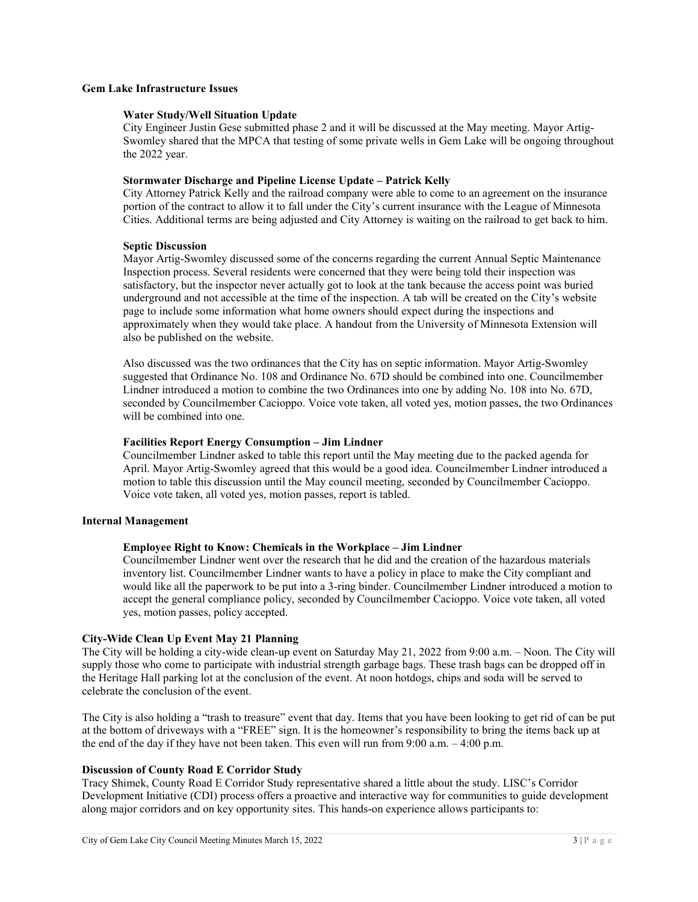### **Gem Lake Infrastructure Issues**

#### **Water Study/Well Situation Update**

City Engineer Justin Gese submitted phase 2 and it will be discussed at the May meeting. Mayor Artig-Swomley shared that the MPCA that testing of some private wells in Gem Lake will be ongoing throughout the 2022 year.

#### **Stormwater Discharge and Pipeline License Update – Patrick Kelly**

City Attorney Patrick Kelly and the railroad company were able to come to an agreement on the insurance portion of the contract to allow it to fall under the City's current insurance with the League of Minnesota Cities. Additional terms are being adjusted and City Attorney is waiting on the railroad to get back to him.

### **Septic Discussion**

Mayor Artig-Swomley discussed some of the concerns regarding the current Annual Septic Maintenance Inspection process. Several residents were concerned that they were being told their inspection was satisfactory, but the inspector never actually got to look at the tank because the access point was buried underground and not accessible at the time of the inspection. A tab will be created on the City's website page to include some information what home owners should expect during the inspections and approximately when they would take place. A handout from the University of Minnesota Extension will also be published on the website.

Also discussed was the two ordinances that the City has on septic information. Mayor Artig-Swomley suggested that Ordinance No. 108 and Ordinance No. 67D should be combined into one. Councilmember Lindner introduced a motion to combine the two Ordinances into one by adding No. 108 into No. 67D, seconded by Councilmember Cacioppo. Voice vote taken, all voted yes, motion passes, the two Ordinances will be combined into one.

### **Facilities Report Energy Consumption – Jim Lindner**

Councilmember Lindner asked to table this report until the May meeting due to the packed agenda for April. Mayor Artig-Swomley agreed that this would be a good idea. Councilmember Lindner introduced a motion to table this discussion until the May council meeting, seconded by Councilmember Cacioppo. Voice vote taken, all voted yes, motion passes, report is tabled.

### **Internal Management**

### **Employee Right to Know: Chemicals in the Workplace – Jim Lindner**

Councilmember Lindner went over the research that he did and the creation of the hazardous materials inventory list. Councilmember Lindner wants to have a policy in place to make the City compliant and would like all the paperwork to be put into a 3-ring binder. Councilmember Lindner introduced a motion to accept the general compliance policy, seconded by Councilmember Cacioppo. Voice vote taken, all voted yes, motion passes, policy accepted.

### **City-Wide Clean Up Event May 21 Planning**

The City will be holding a city-wide clean-up event on Saturday May 21, 2022 from 9:00 a.m. – Noon. The City will supply those who come to participate with industrial strength garbage bags. These trash bags can be dropped off in the Heritage Hall parking lot at the conclusion of the event. At noon hotdogs, chips and soda will be served to celebrate the conclusion of the event.

The City is also holding a "trash to treasure" event that day. Items that you have been looking to get rid of can be put at the bottom of driveways with a "FREE" sign. It is the homeowner's responsibility to bring the items back up at the end of the day if they have not been taken. This even will run from 9:00 a.m. – 4:00 p.m.

# **Discussion of County Road E Corridor Study**

Tracy Shimek, County Road E Corridor Study representative shared a little about the study. LISC's Corridor Development Initiative (CDI) process offers a proactive and interactive way for communities to guide development along major corridors and on key opportunity sites. This hands-on experience allows participants to: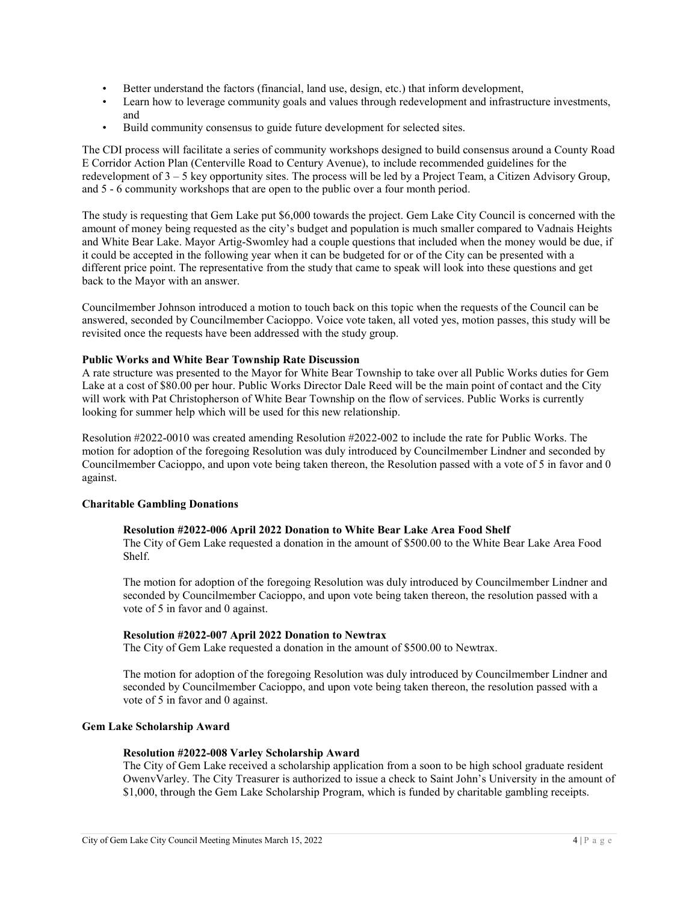- Better understand the factors (financial, land use, design, etc.) that inform development,
- Learn how to leverage community goals and values through redevelopment and infrastructure investments, and
- Build community consensus to guide future development for selected sites.

The CDI process will facilitate a series of community workshops designed to build consensus around a County Road E Corridor Action Plan (Centerville Road to Century Avenue), to include recommended guidelines for the redevelopment of 3 – 5 key opportunity sites. The process will be led by a Project Team, a Citizen Advisory Group, and 5 - 6 community workshops that are open to the public over a four month period.

The study is requesting that Gem Lake put \$6,000 towards the project. Gem Lake City Council is concerned with the amount of money being requested as the city's budget and population is much smaller compared to Vadnais Heights and White Bear Lake. Mayor Artig-Swomley had a couple questions that included when the money would be due, if it could be accepted in the following year when it can be budgeted for or of the City can be presented with a different price point. The representative from the study that came to speak will look into these questions and get back to the Mayor with an answer.

Councilmember Johnson introduced a motion to touch back on this topic when the requests of the Council can be answered, seconded by Councilmember Cacioppo. Voice vote taken, all voted yes, motion passes, this study will be revisited once the requests have been addressed with the study group.

### **Public Works and White Bear Township Rate Discussion**

A rate structure was presented to the Mayor for White Bear Township to take over all Public Works duties for Gem Lake at a cost of \$80.00 per hour. Public Works Director Dale Reed will be the main point of contact and the City will work with Pat Christopherson of White Bear Township on the flow of services. Public Works is currently looking for summer help which will be used for this new relationship.

Resolution #2022-0010 was created amending Resolution #2022-002 to include the rate for Public Works. The motion for adoption of the foregoing Resolution was duly introduced by Councilmember Lindner and seconded by Councilmember Cacioppo, and upon vote being taken thereon, the Resolution passed with a vote of 5 in favor and 0 against.

# **Charitable Gambling Donations**

### **Resolution #2022-006 April 2022 Donation to White Bear Lake Area Food Shelf**

The City of Gem Lake requested a donation in the amount of \$500.00 to the White Bear Lake Area Food Shelf.

The motion for adoption of the foregoing Resolution was duly introduced by Councilmember Lindner and seconded by Councilmember Cacioppo, and upon vote being taken thereon, the resolution passed with a vote of 5 in favor and 0 against.

### **Resolution #2022-007 April 2022 Donation to Newtrax**

The City of Gem Lake requested a donation in the amount of \$500.00 to Newtrax.

The motion for adoption of the foregoing Resolution was duly introduced by Councilmember Lindner and seconded by Councilmember Cacioppo, and upon vote being taken thereon, the resolution passed with a vote of 5 in favor and 0 against.

### **Gem Lake Scholarship Award**

### **Resolution #2022-008 Varley Scholarship Award**

The City of Gem Lake received a scholarship application from a soon to be high school graduate resident OwenvVarley. The City Treasurer is authorized to issue a check to Saint John's University in the amount of \$1,000, through the Gem Lake Scholarship Program, which is funded by charitable gambling receipts.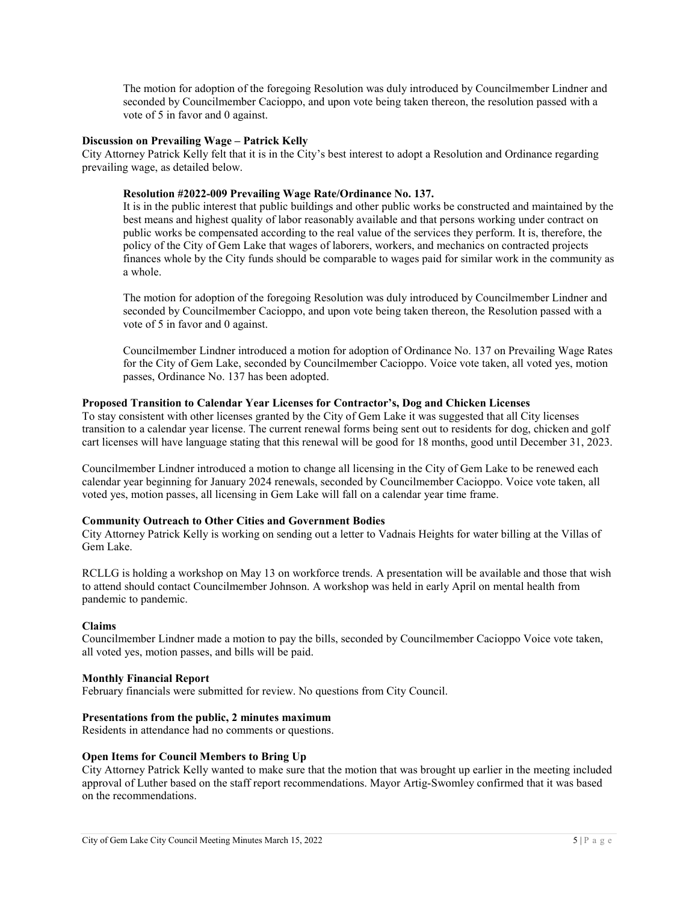The motion for adoption of the foregoing Resolution was duly introduced by Councilmember Lindner and seconded by Councilmember Cacioppo, and upon vote being taken thereon, the resolution passed with a vote of 5 in favor and 0 against.

### **Discussion on Prevailing Wage – Patrick Kelly**

City Attorney Patrick Kelly felt that it is in the City's best interest to adopt a Resolution and Ordinance regarding prevailing wage, as detailed below.

### **Resolution #2022-009 Prevailing Wage Rate/Ordinance No. 137.**

It is in the public interest that public buildings and other public works be constructed and maintained by the best means and highest quality of labor reasonably available and that persons working under contract on public works be compensated according to the real value of the services they perform. It is, therefore, the policy of the City of Gem Lake that wages of laborers, workers, and mechanics on contracted projects finances whole by the City funds should be comparable to wages paid for similar work in the community as a whole.

The motion for adoption of the foregoing Resolution was duly introduced by Councilmember Lindner and seconded by Councilmember Cacioppo, and upon vote being taken thereon, the Resolution passed with a vote of 5 in favor and 0 against.

Councilmember Lindner introduced a motion for adoption of Ordinance No. 137 on Prevailing Wage Rates for the City of Gem Lake, seconded by Councilmember Cacioppo. Voice vote taken, all voted yes, motion passes, Ordinance No. 137 has been adopted.

### **Proposed Transition to Calendar Year Licenses for Contractor's, Dog and Chicken Licenses**

To stay consistent with other licenses granted by the City of Gem Lake it was suggested that all City licenses transition to a calendar year license. The current renewal forms being sent out to residents for dog, chicken and golf cart licenses will have language stating that this renewal will be good for 18 months, good until December 31, 2023.

Councilmember Lindner introduced a motion to change all licensing in the City of Gem Lake to be renewed each calendar year beginning for January 2024 renewals, seconded by Councilmember Cacioppo. Voice vote taken, all voted yes, motion passes, all licensing in Gem Lake will fall on a calendar year time frame.

### **Community Outreach to Other Cities and Government Bodies**

City Attorney Patrick Kelly is working on sending out a letter to Vadnais Heights for water billing at the Villas of Gem Lake.

RCLLG is holding a workshop on May 13 on workforce trends. A presentation will be available and those that wish to attend should contact Councilmember Johnson. A workshop was held in early April on mental health from pandemic to pandemic.

### **Claims**

Councilmember Lindner made a motion to pay the bills, seconded by Councilmember Cacioppo Voice vote taken, all voted yes, motion passes, and bills will be paid.

### **Monthly Financial Report**

February financials were submitted for review. No questions from City Council.

### **Presentations from the public, 2 minutes maximum**

Residents in attendance had no comments or questions.

### **Open Items for Council Members to Bring Up**

City Attorney Patrick Kelly wanted to make sure that the motion that was brought up earlier in the meeting included approval of Luther based on the staff report recommendations. Mayor Artig-Swomley confirmed that it was based on the recommendations.